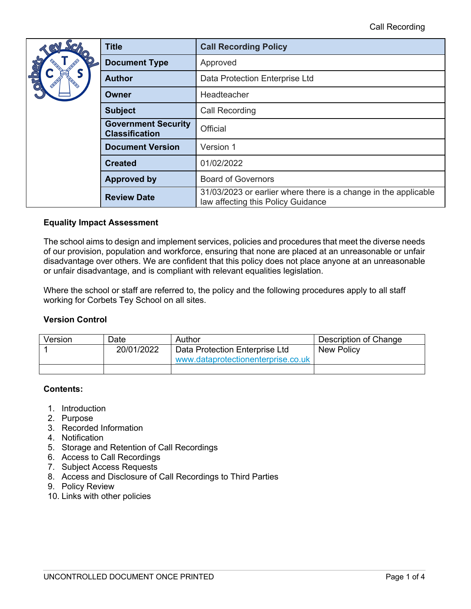| ScA                                                 | <b>Title</b>            | <b>Call Recording Policy</b>                                                                          |  |
|-----------------------------------------------------|-------------------------|-------------------------------------------------------------------------------------------------------|--|
| <b>CEC</b>                                          | <b>Document Type</b>    | Approved                                                                                              |  |
|                                                     | <b>Author</b>           | Data Protection Enterprise Ltd                                                                        |  |
|                                                     | <b>Owner</b>            | Headteacher                                                                                           |  |
|                                                     | <b>Subject</b>          | <b>Call Recording</b>                                                                                 |  |
| <b>Government Security</b><br><b>Classification</b> |                         | Official                                                                                              |  |
|                                                     | <b>Document Version</b> | Version 1                                                                                             |  |
|                                                     | <b>Created</b>          | 01/02/2022                                                                                            |  |
|                                                     | <b>Approved by</b>      | <b>Board of Governors</b>                                                                             |  |
|                                                     | <b>Review Date</b>      | 31/03/2023 or earlier where there is a change in the applicable<br>law affecting this Policy Guidance |  |

## **Equality Impact Assessment**

The school aims to design and implement services, policies and procedures that meet the diverse needs of our provision, population and workforce, ensuring that none are placed at an unreasonable or unfair disadvantage over others. We are confident that this policy does not place anyone at an unreasonable or unfair disadvantage, and is compliant with relevant equalities legislation.

Where the school or staff are referred to, the policy and the following procedures apply to all staff working for Corbets Tey School on all sites.

#### **Version Control**

| Version | Date       | Author                             | Description of Change |
|---------|------------|------------------------------------|-----------------------|
|         | 20/01/2022 | Data Protection Enterprise Ltd     | New Policy            |
|         |            | www.dataprotectionenterprise.co.uk |                       |
|         |            |                                    |                       |

# **Contents:**

- 1. Introduction
- 2. Purpose
- 3. Recorded Information
- 4. Notification
- 5. Storage and Retention of Call Recordings
- 6. Access to Call Recordings
- 7. Subject Access Requests
- 8. Access and Disclosure of Call Recordings to Third Parties
- 9. Policy Review
- 10. Links with other policies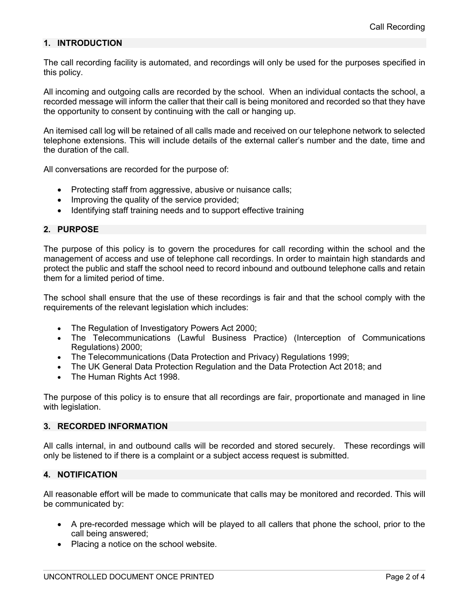### **1. INTRODUCTION**

The call recording facility is automated, and recordings will only be used for the purposes specified in this policy.

All incoming and outgoing calls are recorded by the school. When an individual contacts the school, a recorded message will inform the caller that their call is being monitored and recorded so that they have the opportunity to consent by continuing with the call or hanging up.

An itemised call log will be retained of all calls made and received on our telephone network to selected telephone extensions. This will include details of the external caller's number and the date, time and the duration of the call.

All conversations are recorded for the purpose of:

- Protecting staff from aggressive, abusive or nuisance calls;
- Improving the quality of the service provided;
- Identifying staff training needs and to support effective training

# **2. PURPOSE**

The purpose of this policy is to govern the procedures for call recording within the school and the management of access and use of telephone call recordings. In order to maintain high standards and protect the public and staff the school need to record inbound and outbound telephone calls and retain them for a limited period of time.

The school shall ensure that the use of these recordings is fair and that the school comply with the requirements of the relevant legislation which includes:

- The Regulation of Investigatory Powers Act 2000;
- The Telecommunications (Lawful Business Practice) (Interception of Communications Regulations) 2000;
- The Telecommunications (Data Protection and Privacy) Regulations 1999;
- The UK General Data Protection Regulation and the Data Protection Act 2018; and
- The Human Rights Act 1998.

The purpose of this policy is to ensure that all recordings are fair, proportionate and managed in line with legislation.

#### **3. RECORDED INFORMATION**

All calls internal, in and outbound calls will be recorded and stored securely. These recordings will only be listened to if there is a complaint or a subject access request is submitted.

# **4. NOTIFICATION**

All reasonable effort will be made to communicate that calls may be monitored and recorded. This will be communicated by:

- A pre-recorded message which will be played to all callers that phone the school, prior to the call being answered;
- Placing a notice on the school website.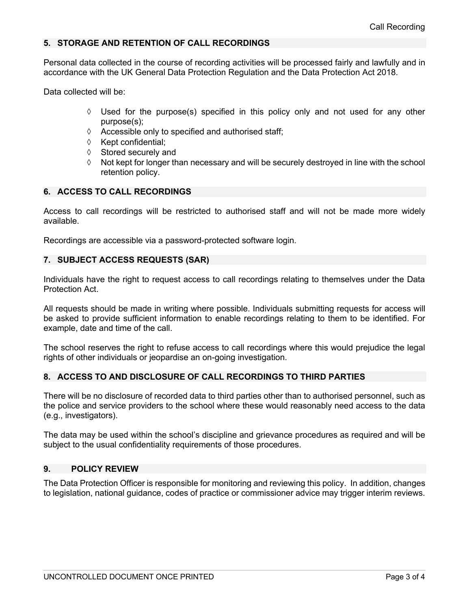### **5. STORAGE AND RETENTION OF CALL RECORDINGS**

Personal data collected in the course of recording activities will be processed fairly and lawfully and in accordance with the UK General Data Protection Regulation and the Data Protection Act 2018.

Data collected will be:

- $\Diamond$  Used for the purpose(s) specified in this policy only and not used for any other purpose(s);
- $\Diamond$  Accessible only to specified and authorised staff;
- $\Diamond$  Kept confidential;
- $\Diamond$  Stored securely and
- à Not kept for longer than necessary and will be securely destroyed in line with the school retention policy.

# **6. ACCESS TO CALL RECORDINGS**

Access to call recordings will be restricted to authorised staff and will not be made more widely available.

Recordings are accessible via a password-protected software login.

#### **7. SUBJECT ACCESS REQUESTS (SAR)**

Individuals have the right to request access to call recordings relating to themselves under the Data Protection Act.

All requests should be made in writing where possible. Individuals submitting requests for access will be asked to provide sufficient information to enable recordings relating to them to be identified. For example, date and time of the call.

The school reserves the right to refuse access to call recordings where this would prejudice the legal rights of other individuals or jeopardise an on-going investigation.

# **8. ACCESS TO AND DISCLOSURE OF CALL RECORDINGS TO THIRD PARTIES**

There will be no disclosure of recorded data to third parties other than to authorised personnel, such as the police and service providers to the school where these would reasonably need access to the data (e.g., investigators).

The data may be used within the school's discipline and grievance procedures as required and will be subject to the usual confidentiality requirements of those procedures.

#### **9. POLICY REVIEW**

The Data Protection Officer is responsible for monitoring and reviewing this policy. In addition, changes to legislation, national guidance, codes of practice or commissioner advice may trigger interim reviews.